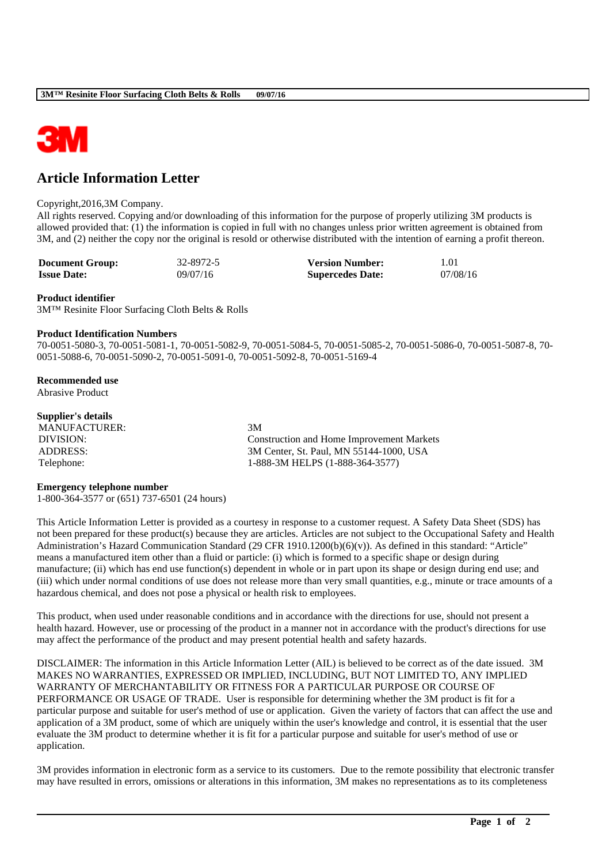

# **Article Information Letter**

### Copyright,2016,3M Company.

All rights reserved. Copying and/or downloading of this information for the purpose of properly utilizing 3M products is allowed provided that: (1) the information is copied in full with no changes unless prior written agreement is obtained from 3M, and (2) neither the copy nor the original is resold or otherwise distributed with the intention of earning a profit thereon.

| <b>Document Group:</b> | 32-8972-5 | <b>Version Number:</b>  | 1.01     |
|------------------------|-----------|-------------------------|----------|
| <b>Issue Date:</b>     | 09/07/16  | <b>Supercedes Date:</b> | 07/08/16 |

### **Product identifier**

3M™ Resinite Floor Surfacing Cloth Belts & Rolls

## **Product Identification Numbers**

70-0051-5080-3, 70-0051-5081-1, 70-0051-5082-9, 70-0051-5084-5, 70-0051-5085-2, 70-0051-5086-0, 70-0051-5087-8, 70- 0051-5088-6, 70-0051-5090-2, 70-0051-5091-0, 70-0051-5092-8, 70-0051-5169-4

## **Recommended use**

Abrasive Product

# **Supplier's details**

MANUFACTURER: 3M

DIVISION: Construction and Home Improvement Markets ADDRESS: 3M Center, St. Paul, MN 55144-1000, USA Telephone: 1-888-3M HELPS (1-888-364-3577)

## **Emergency telephone number**

1-800-364-3577 or (651) 737-6501 (24 hours)

This Article Information Letter is provided as a courtesy in response to a customer request. A Safety Data Sheet (SDS) has not been prepared for these product(s) because they are articles. Articles are not subject to the Occupational Safety and Health Administration's Hazard Communication Standard (29 CFR 1910.1200(b)(6)(v)). As defined in this standard: "Article" means a manufactured item other than a fluid or particle: (i) which is formed to a specific shape or design during manufacture; (ii) which has end use function(s) dependent in whole or in part upon its shape or design during end use; and (iii) which under normal conditions of use does not release more than very small quantities, e.g., minute or trace amounts of a hazardous chemical, and does not pose a physical or health risk to employees.

This product, when used under reasonable conditions and in accordance with the directions for use, should not present a health hazard. However, use or processing of the product in a manner not in accordance with the product's directions for use may affect the performance of the product and may present potential health and safety hazards.

DISCLAIMER: The information in this Article Information Letter (AIL) is believed to be correct as of the date issued. 3M MAKES NO WARRANTIES, EXPRESSED OR IMPLIED, INCLUDING, BUT NOT LIMITED TO, ANY IMPLIED WARRANTY OF MERCHANTABILITY OR FITNESS FOR A PARTICULAR PURPOSE OR COURSE OF PERFORMANCE OR USAGE OF TRADE. User is responsible for determining whether the 3M product is fit for a particular purpose and suitable for user's method of use or application. Given the variety of factors that can affect the use and application of a 3M product, some of which are uniquely within the user's knowledge and control, it is essential that the user evaluate the 3M product to determine whether it is fit for a particular purpose and suitable for user's method of use or application.

3M provides information in electronic form as a service to its customers. Due to the remote possibility that electronic transfer may have resulted in errors, omissions or alterations in this information, 3M makes no representations as to its completeness

\_\_\_\_\_\_\_\_\_\_\_\_\_\_\_\_\_\_\_\_\_\_\_\_\_\_\_\_\_\_\_\_\_\_\_\_\_\_\_\_\_\_\_\_\_\_\_\_\_\_\_\_\_\_\_\_\_\_\_\_\_\_\_\_\_\_\_\_\_\_\_\_\_\_\_\_\_\_\_\_\_\_\_\_\_\_\_\_\_\_